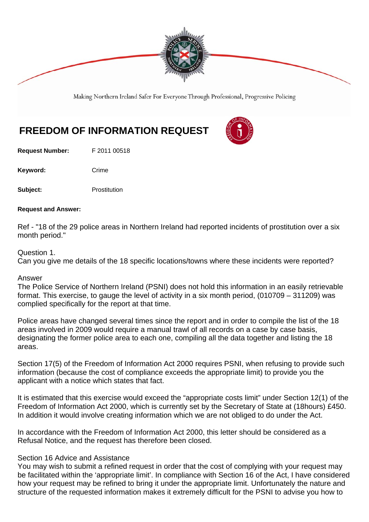

Making Northern Ireland Safer For Everyone Through Professional, Progressive Policing

# **FREEDOM OF INFORMATION REQUEST**

**Request Number:** F 2011 00518

Keyword: Crime

**Subject:** Prostitution

#### **Request and Answer:**

Ref - "18 of the 29 police areas in Northern Ireland had reported incidents of prostitution over a six month period."

## Question 1.

Can you give me details of the 18 specific locations/towns where these incidents were reported?

### Answer

The Police Service of Northern Ireland (PSNI) does not hold this information in an easily retrievable format. This exercise, to gauge the level of activity in a six month period, (010709 – 311209) was complied specifically for the report at that time.

Police areas have changed several times since the report and in order to compile the list of the 18 areas involved in 2009 would require a manual trawl of all records on a case by case basis, designating the former police area to each one, compiling all the data together and listing the 18 areas.

Section 17(5) of the Freedom of Information Act 2000 requires PSNI, when refusing to provide such information (because the cost of compliance exceeds the appropriate limit) to provide you the applicant with a notice which states that fact.

It is estimated that this exercise would exceed the "appropriate costs limit" under Section 12(1) of the Freedom of Information Act 2000, which is currently set by the Secretary of State at (18hours) £450. In addition it would involve creating information which we are not obliged to do under the Act.

In accordance with the Freedom of Information Act 2000, this letter should be considered as a Refusal Notice, and the request has therefore been closed.

### Section 16 Advice and Assistance

You may wish to submit a refined request in order that the cost of complying with your request may be facilitated within the 'appropriate limit'. In compliance with Section 16 of the Act, I have considered how your request may be refined to bring it under the appropriate limit. Unfortunately the nature and structure of the requested information makes it extremely difficult for the PSNI to advise you how to